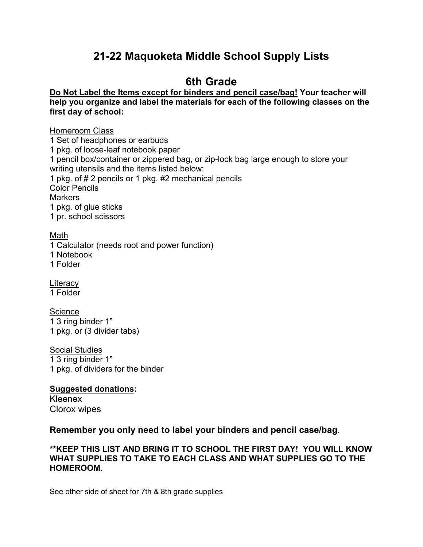# **21-22 Maquoketa Middle School Supply Lists**

## **6th Grade**

#### **Do Not Label the Items except for binders and pencil case/bag! Your teacher will help you organize and label the materials for each of the following classes on the first day of school:**

#### Homeroom Class

1 Set of headphones or earbuds

1 pkg. of loose-leaf notebook paper

1 pencil box/container or zippered bag, or zip-lock bag large enough to store your writing utensils and the items listed below:

1 pkg. of # 2 pencils or 1 pkg. #2 mechanical pencils

Color Pencils

**Markers** 

1 pkg. of glue sticks

1 pr. school scissors

Math

1 Calculator (needs root and power function)

1 Notebook

1 Folder

**Literacy** 

1 Folder

**Science** 

1 3 ring binder 1" 1 pkg. or (3 divider tabs)

Social Studies

1 3 ring binder 1" 1 pkg. of dividers for the binder

### **Suggested donations:**

Kleenex Clorox wipes

### **Remember you only need to label your binders and pencil case/bag**.

#### **\*\*KEEP THIS LIST AND BRING IT TO SCHOOL THE FIRST DAY! YOU WILL KNOW WHAT SUPPLIES TO TAKE TO EACH CLASS AND WHAT SUPPLIES GO TO THE HOMEROOM.**

See other side of sheet for 7th & 8th grade supplies